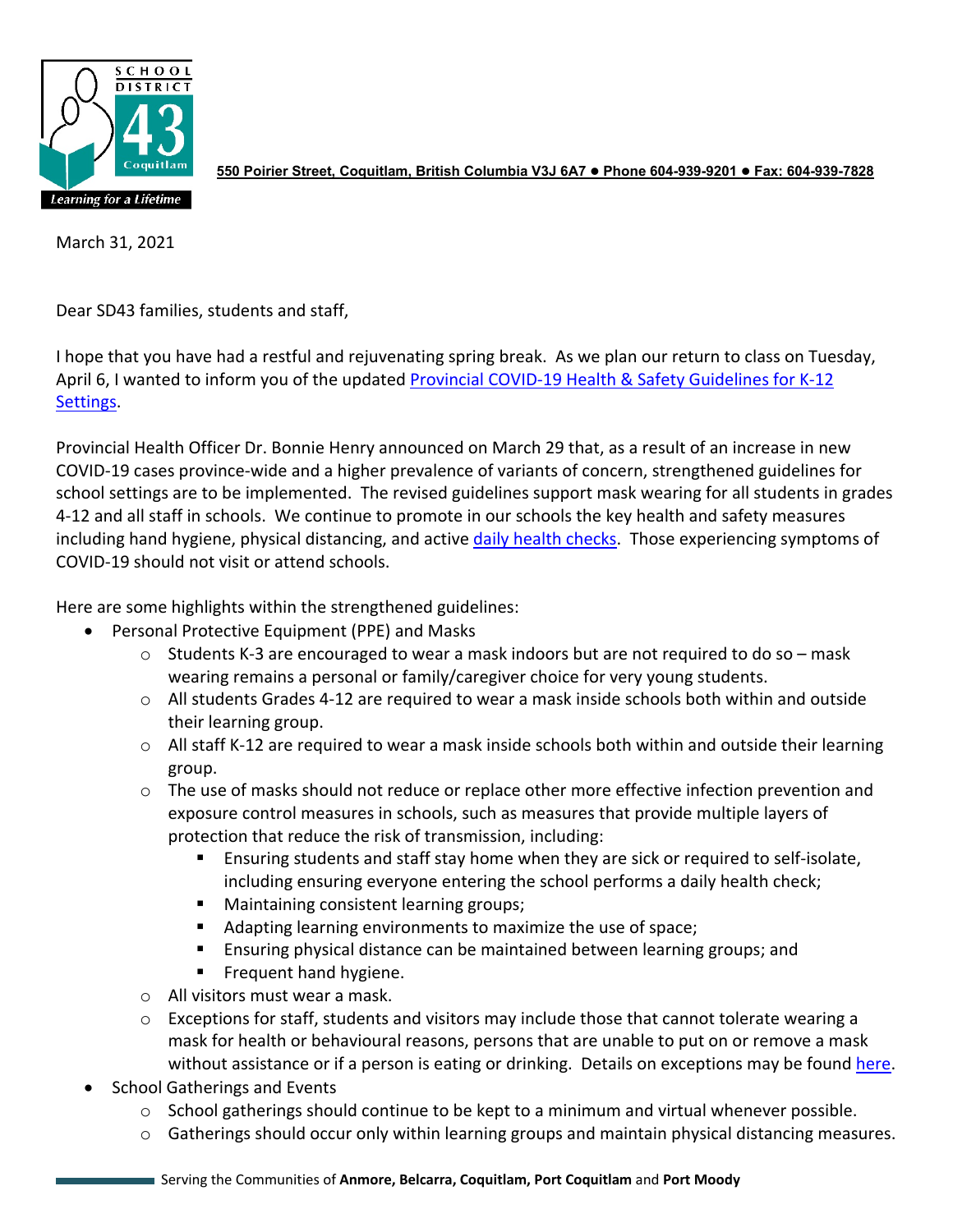

**550 Poirier Street, Coquitlam, British Columbia V3J 6A7 Phone 604-939-9201 Fax: 604-939-7828**

March 31, 2021

Dear SD43 families, students and staff,

I hope that you have had a restful and rejuvenating spring break. As we plan our return to class on Tuesday, April 6, I wanted to inform you of the updated Provincial COVID-19 Health & Safety Guidelines for K-12 [Settings.](https://www2.gov.bc.ca/assets/gov/education/administration/kindergarten-to-grade-12/safe-caring-orderly/k-12-covid-19-health-safety-guidlines.pdf)

Provincial Health Officer Dr. Bonnie Henry announced on March 29 that, as a result of an increase in new COVID-19 cases province-wide and a higher prevalence of variants of concern, strengthened guidelines for school settings are to be implemented. The revised guidelines support mask wearing for all students in grades 4-12 and all staff in schools. We continue to promote in our schools the key health and safety measures including hand hygiene, physical distancing, and active [daily health checks.](https://www.sd43.bc.ca/Lists/Documents/2020.09.18%20Daily%20Health%20Check%20Screen%20%28English%29.pdf) Those experiencing symptoms of COVID-19 should not visit or attend schools.

Here are some highlights within the strengthened guidelines:

- Personal Protective Equipment (PPE) and Masks
	- $\circ$  Students K-3 are encouraged to wear a mask indoors but are not required to do so mask wearing remains a personal or family/caregiver choice for very young students.
	- $\circ$  All students Grades 4-12 are required to wear a mask inside schools both within and outside their learning group.
	- $\circ$  All staff K-12 are required to wear a mask inside schools both within and outside their learning group.
	- $\circ$  The use of masks should not reduce or replace other more effective infection prevention and exposure control measures in schools, such as measures that provide multiple layers of protection that reduce the risk of transmission, including:
		- Ensuring students and staff stay home when they are sick or required to self-isolate, including ensuring everyone entering the school performs a daily health check;
		- Maintaining consistent learning groups;
		- Adapting learning environments to maximize the use of space;
		- Ensuring physical distance can be maintained between learning groups; and
		- **Filter** Frequent hand hygiene.
	- o All visitors must wear a mask.
	- o Exceptions for staff, students and visitors may include those that cannot tolerate wearing a mask for health or behavioural reasons, persons that are unable to put on or remove a mask without assistance or if a person is eating or drinking. Details on exceptions may be found [here.](https://www.sd43.bc.ca/Lists/Documents/Health%20Safety%20Protocols%20for%20Schools%20Stage%202%20Mar%2031%202021;%20District%20Planning%20&%20Guidelines.pdf)
- School Gatherings and Events
	- $\circ$  School gatherings should continue to be kept to a minimum and virtual whenever possible.
	- o Gatherings should occur only within learning groups and maintain physical distancing measures.